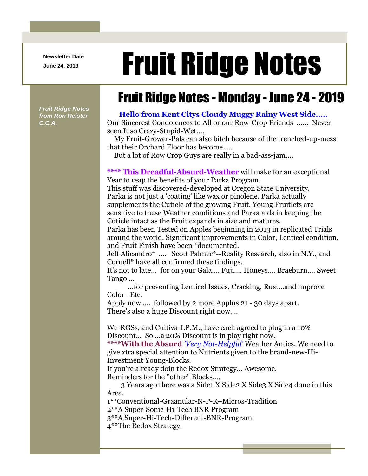**Newsletter Date**

## Newsletter Date **Fruit Ridge Notes**

## Fruit Ridge Notes - Monday - June 24 - 2019

*Fruit Ridge Notes from Ron Reister C.C.A.*

## **Hello from Kent Citys Cloudy Muggy Rainy West Side.....**

Our Sincerest Condolences to All or our Row-Crop Friends ...... Never seen It so Crazy-Stupid-Wet....

My Fruit-Grower-Pals can also bitch because of the trenched-up-mess that their Orchard Floor has become.....

But a lot of Row Crop Guys are really in a bad-ass-jam....

**\*\*\*\* This Dreadful-Absurd-Weather** will make for an exceptional Year to reap the benefits of your Parka Program.

This stuff was discovered-developed at Oregon State University. Parka is not just a 'coating' like wax or pinolene. Parka actually supplements the Cuticle of the growing Fruit. Young Fruitlets are sensitive to these Weather conditions and Parka aids in keeping the Cuticle intact as the Fruit expands in size and matures.

Parka has been Tested on Apples beginning in 2013 in replicated Trials around the world. Significant improvements in Color, Lenticel condition, and Fruit Finish have been \*documented.

Jeff Alicandro\* .... Scott Palmer\*--Reality Research, also in N.Y., and Cornell\* have all confirmed these findings.

It's not to late... for on your Gala.... Fuji.... Honeys.... Braeburn.... Sweet Tango ...

...for preventing Lenticel Issues, Cracking, Rust...and improve Color--Etc.

Apply now .... followed by 2 more Applns 21 - 30 days apart. There's also a huge Discount right now....

We-RGSs, and Cultiva-I.P.M., have each agreed to plug in a 10% Discount... So ...a 20% Discount is in play right now.

**\*\*\*\*With the Absurd** *'Very Not-Helpful'* Weather Antics, We need to give xtra special attention to Nutrients given to the brand-new-Hi-Investment Young-Blocks.

If you're already doin the Redox Strategy... Awesome.

Reminders for the ''other'' Blocks....

3 Years ago there was a Side1 X Side2 X Side3 X Side4 done in this Area.

1\*\*Conventional-Graanular-N-P-K+Micros-Tradition

2\*\*A Super-Sonic-Hi-Tech BNR Program

3\*\*A Super-Hi-Tech-Different-BNR-Program

4\*\*The Redox Strategy.